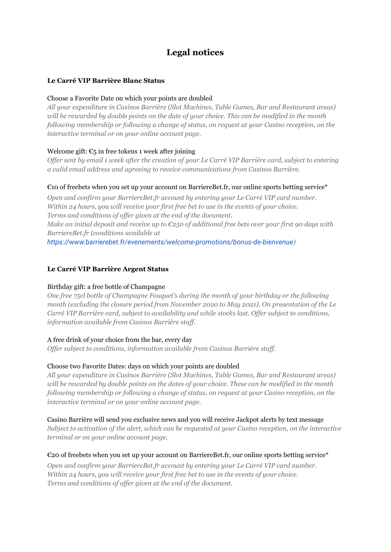# **Legal notices**

# **Le Carré VIP Barrière Blanc Status**

## Choose a Favorite Date on which your points are doubled

*All your expenditure in Casinos Barrière (Slot Machines, Table Games, Bar and Restaurant areas)* will be rewarded by double points on the date of your choice. This can be modified in the month *following membership or following a change of status, on request at your Casino reception, on the interactive terminal or on your online account page.*

## Welcome gift:  $\epsilon_5$  in free tokens 1 week after joining

Offer sent by email 1 week after the creation of your Le Carré VIP Barrière card, subject to entering *a valid email address and agreeing to receive communications from Casinos Barrière.*

## $\epsilon$ 10 of freebets when you set up your account on BarriereBet.fr, our online sports betting service\*

*Open and confirm your BarriereBet.fr account by entering your Le Carré VIP card number. Within 24 hours, you will receive your first free bet to use in the events of your choice. Terms and conditions of of er given at the end of the document.* Make an initial deposit and receive up to  $\mathcal{E}250$  of additional free bets over your first 90 days with *BarriereBet.fr (conditions available at <https://www.barrierebet.fr/evenements/welcome-promotions/bonus-de-bienvenue>)*

# **Le Carré VIP Barrière Argent Status**

#### Birthday gift: a free bottle of Champagne

*One free 75cl bottle of Champagne Fouquet's during the month of your birthday or the following month (excluding the closure period from November 2020 to May 2021). On presentation of the Le Carré VIP Barrière card, subject to availability and while stocks last. Of er subject to conditions, information available from Casinos Barrière staf .*

#### A free drink of your choice from the bar, every day

*Of er subject to conditions, information available from Casinos Barrière staf .*

#### Choose two Favorite Dates: days on which your points are doubled

*All your expenditure in Casinos Barrière (Slot Machines, Table Games, Bar and Restaurant areas)* will be rewarded by double points on the dates of your choice. These can be modified in the month *following membership or following a change of status, on request at your Casino reception, on the interactive terminal or on your online account page.*

#### Casino Barrière will send you exclusive news and you will receive Jackpot alerts by text message

*Subject to activation of the alert, which can be requested at your Casino reception, on the interactive terminal or on your online account page.*

#### €20 of freebets when you set up your account on BarriereBet.fr, our online sports betting service\*

*Open and confirm your BarriereBet.fr account by entering your Le Carré VIP card number. Within 24 hours, you will receive your first free bet to use in the events of your choice. Terms and conditions of of er given at the end of the document.*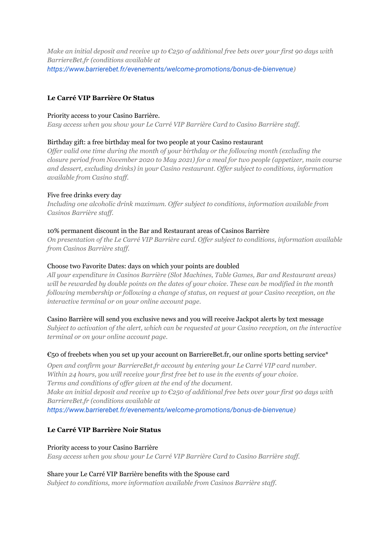Make an initial deposit and receive up to  $\mathcal{E}250$  of additional free bets over your first 90 days with *BarriereBet.fr (conditions available at <https://www.barrierebet.fr/evenements/welcome-promotions/bonus-de-bienvenue>)*

# **Le Carré VIP Barrière Or Status**

#### Priority access to your Casino Barrière.

*Easy access when you show your Le Carré VIP Barrière Card to Casino Barrière staf .*

# Birthday gift: a free birthday meal for two people at your Casino restaurant

*Of er valid one time during the month of your birthday or the following month (excluding the closure period from November 2020 to May 2021) for a meal for two people (appetizer, main course and dessert, excluding drinks) in your Casino restaurant. Of er subject to conditions, information available from Casino staf .*

## Five free drinks every day

*Including one alcoholic drink maximum. Of er subject to conditions, information available from Casinos Barrière staff.* 

## 10% permanent discount in the Bar and Restaurant areas of Casinos Barrière

*On presentation of the Le Carré VIP Barrière card. Of er subject to conditions, information available from Casinos Barrière staff.* 

## Choose two Favorite Dates: days on which your points are doubled

*All your expenditure in Casinos Barrière (Slot Machines, Table Games, Bar and Restaurant areas)* will be rewarded by double points on the dates of your choice. These can be modified in the month *following membership or following a change of status, on request at your Casino reception, on the interactive terminal or on your online account page.*

#### Casino Barrière will send you exclusive news and you will receive Jackpot alerts by text message

*Subject to activation of the alert, which can be requested at your Casino reception, on the interactive terminal or on your online account page.*

#### €50 of freebets when you set up your account on BarriereBet.fr, our online sports betting service\*

*Open and confirm your BarriereBet.fr account by entering your Le Carré VIP card number. Within 24 hours, you will receive your first free bet to use in the events of your choice. Terms and conditions of of er given at the end of the document.* Make an initial deposit and receive up to  $\mathcal{E}250$  of additional free bets over your first 90 days with *BarriereBet.fr (conditions available at*

*<https://www.barrierebet.fr/evenements/welcome-promotions/bonus-de-bienvenue>)*

# **Le Carré VIP Barrière Noir Status**

#### Priority access to your Casino Barrière

*Easy access when you show your Le Carré VIP Barrière Card to Casino Barrière staf .*

#### Share your Le Carré VIP Barrière benefits with the Spouse card

*Subject to conditions, more information available from Casinos Barrière staf .*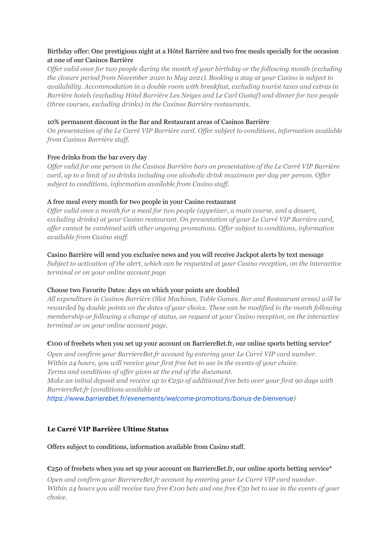# Birthday offer: One prestigious night at a Hôtel Barrière and two free meals specially for the occasion at one of our Casinos Barrière

Offer valid once for two people during the month of your birthday or the following month (excluding *the closure period from November 2020 to May 2021). Booking a stay at your Casino is subject to availability. Accommodation in a double room with breakfast, excluding tourist taxes and extras in Barrière hotels (excluding Hôtel Barrière Les Neiges and Le Carl Gustaf) and dinner for two people (three courses, excluding drinks) in the Casinos Barrière restaurants.*

## 10% permanent discount in the Bar and Restaurant areas of Casinos Barrière

*On presentation of the Le Carré VIP Barrière card. Of er subject to conditions, information available from Casinos Barrière staff.* 

## Free drinks from the bar every day

Offer valid for one person in the Casinos Barrière bars on presentation of the Le Carré VIP Barrière card, up to a limit of 10 drinks including one alcoholic drink maximum per day per person. Offer *subject to conditions, information available from Casino staf .*

## A free meal every month for two people in your Casino restaurant

Offer valid once a month for a meal for two people (appetizer, a main course, and a dessert, *excluding drinks) at your Casino restaurant. On presentation of your Le Carré VIP Barrière card, of er cannot be combined with other ongoing promotions. Of er subject to conditions, information available from Casino staf .*

## Casino Barrière will send you exclusive news and you will receive Jackpot alerts by text message

*Subject to activation of the alert, which can be requested at your Casino reception, on the interactive terminal or on your online account page*

# Choose two Favorite Dates: days on which your points are doubled

*All expenditure in Casinos Barrière (Slot Machines, Table Games, Bar and Restaurant areas) will be* rewarded by double points on the dates of your choice. These can be modified in the month following *membership or following a change of status, on request at your Casino reception, on the interactive terminal or on your online account page.*

# $\epsilon$ 100 of freebets when you set up your account on BarriereBet.fr, our online sports betting service\*

*Open and confirm your BarriereBet.fr account by entering your Le Carré VIP card number. Within 24 hours, you will receive your first free bet to use in the events of your choice. Terms and conditions of of er given at the end of the document.*

Make an initial deposit and receive up to  $\mathcal{E}250$  of additional free bets over your first 90 days with *BarriereBet.fr (conditions available at*

*<https://www.barrierebet.fr/evenements/welcome-promotions/bonus-de-bienvenue>)*

# **Le Carré VIP Barrière Ultime Status**

Offers subject to conditions, information available from Casino staff.

#### $\epsilon$ 250 of freebets when you set up your account on BarriereBet.fr, our online sports betting service\*

*Open and confirm your BarriereBet.fr account by entering your Le Carré VIP card number.* Within 24 hours you will receive two free  $\epsilon$ 100 bets and one free  $\epsilon$ 50 bet to use in the events of your *choice.*